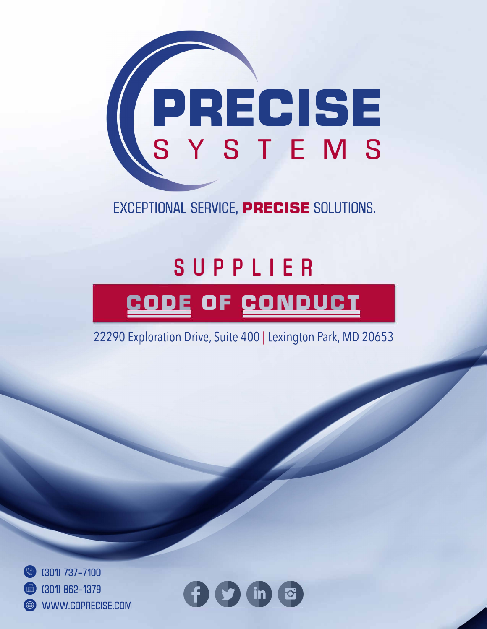

EXCEPTIONAL SERVICE, PRECISE SOLUTIONS.

## **SUPPLIER CODE OF CONDUCT**

22290 Exploration Drive, Suite 400 | Lexington Park, MD 20653



e 13011 737-7100

**fl)** (3011 862-1379

**9** WWW.G0PRECISE.C0M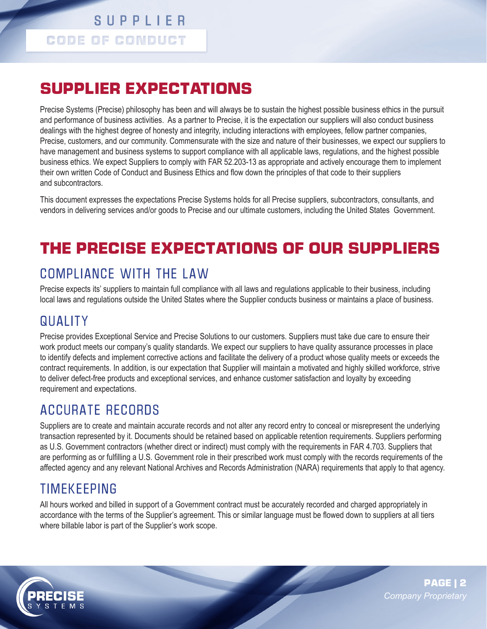#### **SUPPLIER CODE OF CONDUCT**

#### **SUPPLIER EXPECTATIONS**

Precise Systems (Precise) philosophy has been and will always be to sustain the highest possible business ethics in the pursuit and performance of business activities. As a partner to Precise, it is the expectation our suppliers will also conduct business dealings with the highest degree of honesty and integrity, including interactions with employees, fellow partner companies, Precise, customers, and our community. Commensurate with the size and nature of their businesses, we expect our suppliers to have management and business systems to support compliance with all applicable laws, regulations, and the highest possible business ethics. We expect Suppliers to comply with FAR 52.203-13 as appropriate and actively encourage them to implement their own written Code of Conduct and Business Ethics and flow down the principles of that code to their suppliers and subcontractors.

This document expresses the expectations Precise Systems holds for all Precise suppliers, subcontractors, consultants, and vendors in delivering services and/or goods to Precise and our ultimate customers, including the United States Government.

#### **THE PRECISE EXPECTATIONS OF OUR SUPPLIERS**

#### COMPLIANCE WITH THE LAW

Precise expects its' suppliers to maintain full compliance with all laws and regulations applicable to their business, including local laws and regulations outside the United States where the Supplier conducts business or maintains a place of business.

#### **QUALITY**

Precise provides Exceptional Service and Precise Solutions to our customers. Suppliers must take due care to ensure their work product meets our company's quality standards. We expect our suppliers to have quality assurance processes in place to identify defects and implement corrective actions and facilitate the delivery of a product whose quality meets or exceeds the contract requirements. In addition, is our expectation that Supplier will maintain a motivated and highly skilled workforce, strive to deliver defect-free products and exceptional services, and enhance customer satisfaction and loyalty by exceeding requirement and expectations.

#### ACCURATE RECORDS

Suppliers are to create and maintain accurate records and not alter any record entry to conceal or misrepresent the underlying transaction represented by it. Documents should be retained based on applicable retention requirements. Suppliers performing as U.S. Government contractors (whether direct or indirect) must comply with the requirements in FAR 4.703. Suppliers that are performing as or fulfilling a U.S. Government role in their prescribed work must comply with the records requirements of the affected agency and any relevant National Archives and Records Administration (NARA) requirements that apply to that agency.

#### TIMEKEEPING

All hours worked and billed in support of a Government contract must be accurately recorded and charged appropriately in accordance with the terms of the Supplier's agreement. This or similar language must be flowed down to suppliers at all tiers where billable labor is part of the Supplier's work scope.

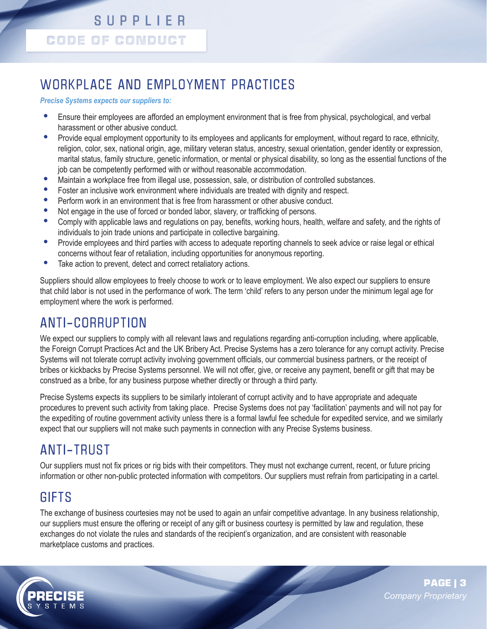#### **SUPPLIER CODE OF CONDUCT**

#### WORKPLACE AND EMPLOYMENT PRACTICES

#### *Precise Systems expects our suppliers to:*

- **•** Ensure their employees are afforded an employment environment that is free from physical, psychological, and verbal harassment or other abusive conduct.
- Provide equal employment opportunity to its employees and applicants for employment, without regard to race, ethnicity, religion, color, sex, national origin, age, military veteran status, ancestry, sexual orientation, gender identity or expression, marital status, family structure, genetic information, or mental or physical disability, so long as the essential functions of the job can be competently performed with or without reasonable accommodation.
- Maintain a workplace free from illegal use, possession, sale, or distribution of controlled substances.<br>• Foster an inclusive work environment where individuals are treated with dignity and respect
- **•** Foster an inclusive work environment where individuals are treated with dignity and respect.
- **•** Perform work in an environment that is free from harassment or other abusive conduct.
- **•** Not engage in the use of forced or bonded labor, slavery, or trafficking of persons.
- **•** Comply with applicable laws and regulations on pay, benefits, working hours, health, welfare and safety, and the rights of individuals to join trade unions and participate in collective bargaining.
- Provide employees and third parties with access to adequate reporting channels to seek advice or raise legal or ethical concerns without fear of retaliation, including opportunities for anonymous reporting.
- Take action to prevent, detect and correct retaliatory actions.

Suppliers should allow employees to freely choose to work or to leave employment. We also expect our suppliers to ensure that child labor is not used in the performance of work. The term 'child' refers to any person under the minimum legal age for employment where the work is performed.

#### ANTI-CORRUPTION

We expect our suppliers to comply with all relevant laws and regulations regarding anti-corruption including, where applicable, the Foreign Corrupt Practices Act and the UK Bribery Act. Precise Systems has a zero tolerance for any corrupt activity. Precise Systems will not tolerate corrupt activity involving government officials, our commercial business partners, or the receipt of bribes or kickbacks by Precise Systems personnel. We will not offer, give, or receive any payment, benefit or gift that may be construed as a bribe, for any business purpose whether directly or through a third party.

Precise Systems expects its suppliers to be similarly intolerant of corrupt activity and to have appropriate and adequate procedures to prevent such activity from taking place. Precise Systems does not pay 'facilitation' payments and will not pay for the expediting of routine government activity unless there is a formal lawful fee schedule for expedited service, and we similarly expect that our suppliers will not make such payments in connection with any Precise Systems business.

#### ANTI-TRUST

Our suppliers must not fix prices or rig bids with their competitors. They must not exchange current, recent, or future pricing information or other non-public protected information with competitors. Our suppliers must refrain from participating in a cartel.

#### **GIFTS**

The exchange of business courtesies may not be used to again an unfair competitive advantage. In any business relationship, our suppliers must ensure the offering or receipt of any gift or business courtesy is permitted by law and regulation, these exchanges do not violate the rules and standards of the recipient's organization, and are consistent with reasonable marketplace customs and practices.

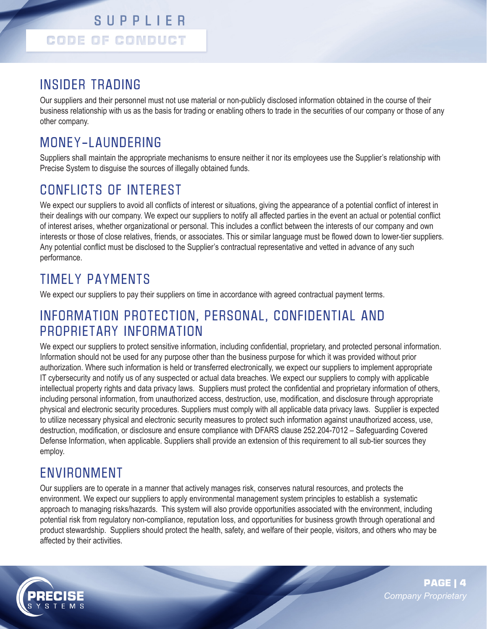#### INSIDER TRADING

Our suppliers and their personnel must not use material or non-publicly disclosed information obtained in the course of their business relationship with us as the basis for trading or enabling others to trade in the securities of our company or those of any other company.

#### MONEY-LAUNDERING

Suppliers shall maintain the appropriate mechanisms to ensure neither it nor its employees use the Supplier's relationship with Precise System to disguise the sources of illegally obtained funds.

#### CONFLICTS OF INTEREST

We expect our suppliers to avoid all conflicts of interest or situations, giving the appearance of a potential conflict of interest in their dealings with our company. We expect our suppliers to notify all affected parties in the event an actual or potential conflict of interest arises, whether organizational or personal. This includes a conflict between the interests of our company and own interests or those of close relatives, friends, or associates. This or similar language must be flowed down to lower-tier suppliers. Any potential conflict must be disclosed to the Supplier's contractual representative and vetted in advance of any such performance.

#### TIMELY PAYMENTS

We expect our suppliers to pay their suppliers on time in accordance with agreed contractual payment terms.

#### INFORMATION PROTECTION, PERSONAL, CONFIDENTIAL AND PROPRIETARY INFORMATION

We expect our suppliers to protect sensitive information, including confidential, proprietary, and protected personal information. Information should not be used for any purpose other than the business purpose for which it was provided without prior authorization. Where such information is held or transferred electronically, we expect our suppliers to implement appropriate IT cybersecurity and notify us of any suspected or actual data breaches. We expect our suppliers to comply with applicable intellectual property rights and data privacy laws. Suppliers must protect the confidential and proprietary information of others, including personal information, from unauthorized access, destruction, use, modification, and disclosure through appropriate physical and electronic security procedures. Suppliers must comply with all applicable data privacy laws. Supplier is expected to utilize necessary physical and electronic security measures to protect such information against unauthorized access, use, destruction, modification, or disclosure and ensure compliance with DFARS clause 252.204-7012 – Safeguarding Covered Defense Information, when applicable. Suppliers shall provide an extension of this requirement to all sub-tier sources they employ.

#### ENVIRONMENT

Our suppliers are to operate in a manner that actively manages risk, conserves natural resources, and protects the environment. We expect our suppliers to apply environmental management system principles to establish a systematic approach to managing risks/hazards. This system will also provide opportunities associated with the environment, including potential risk from regulatory non-compliance, reputation loss, and opportunities for business growth through operational and product stewardship. Suppliers should protect the health, safety, and welfare of their people, visitors, and others who may be affected by their activities.

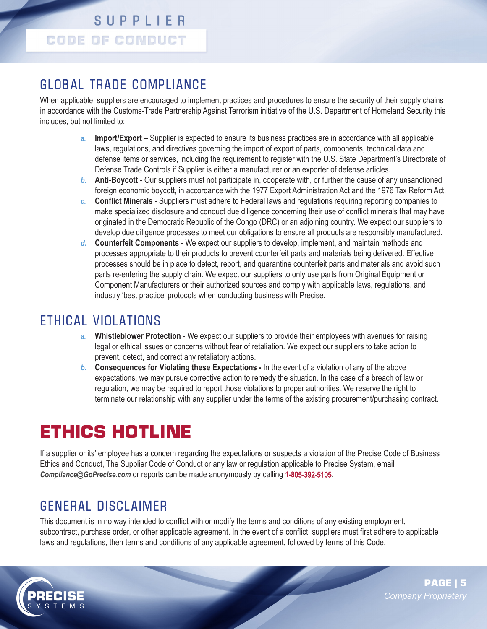#### GLOBAL TRADE COMPLIANCE

When applicable, suppliers are encouraged to implement practices and procedures to ensure the security of their supply chains in accordance with the Customs-Trade Partnership Against Terrorism initiative of the U.S. Department of Homeland Security this includes, but not limited to::

- *a.* **Import/Export –** Supplier is expected to ensure its business practices are in accordance with all applicable laws, regulations, and directives governing the import of export of parts, components, technical data and defense items or services, including the requirement to register with the U.S. State Department's Directorate of Defense Trade Controls if Supplier is either a manufacturer or an exporter of defense articles.
- *b.* **Anti-Boycott** Our suppliers must not participate in, cooperate with, or further the cause of any unsanctioned foreign economic boycott, in accordance with the 1977 Export Administration Act and the 1976 Tax Reform Act.
- *c.* **Conflict Minerals** Suppliers must adhere to Federal laws and regulations requiring reporting companies to make specialized disclosure and conduct due diligence concerning their use of conflict minerals that may have originated in the Democratic Republic of the Congo (DRC) or an adjoining country. We expect our suppliers to develop due diligence processes to meet our obligations to ensure all products are responsibly manufactured.
- *d.* **Counterfeit Components** We expect our suppliers to develop, implement, and maintain methods and processes appropriate to their products to prevent counterfeit parts and materials being delivered. Effective processes should be in place to detect, report, and quarantine counterfeit parts and materials and avoid such parts re-entering the supply chain. We expect our suppliers to only use parts from Original Equipment or Component Manufacturers or their authorized sources and comply with applicable laws, regulations, and industry 'best practice' protocols when conducting business with Precise.

#### ETHICAL VIOLATIONS

- *a.* **Whistleblower Protection** We expect our suppliers to provide their employees with avenues for raising legal or ethical issues or concerns without fear of retaliation. We expect our suppliers to take action to prevent, detect, and correct any retaliatory actions.
- *b.* **Consequences for Violating these Expectations** In the event of a violation of any of the above expectations, we may pursue corrective action to remedy the situation. In the case of a breach of law or regulation, we may be required to report those violations to proper authorities. We reserve the right to terminate our relationship with any supplier under the terms of the existing procurement/purchasing contract.

### **ETHICS HOTLINE**

If a supplier or its' employee has a concern regarding the expectations or suspects a violation of the Precise Code of Business Ethics and Conduct, The Supplier Code of Conduct or any law or regulation applicable to Precise System, email *Compliance@GoPrecise.com* or reports can be made anonymously by calling **1-8**05-392-5105.

#### GENERAL DISCLAIMER

This document is in no way intended to conflict with or modify the terms and conditions of any existing employment, subcontract, purchase order, or other applicable agreement. In the event of a conflict, suppliers must first adhere to applicable laws and regulations, then terms and conditions of any applicable agreement, followed by terms of this Code.